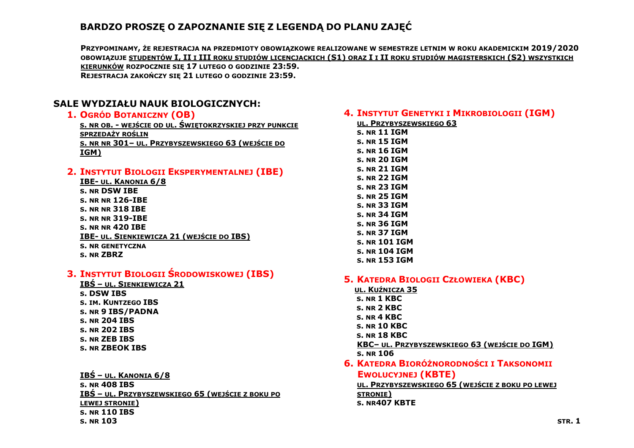# **BARDZO PROSZĘ O ZAPOZNANIE SIĘ Z LEGENDĄ DO PLANU ZAJĘĆ**

**PRZYPOMINAMY, ŻE REJESTRACJA NA PRZEDMIOTY OBOWIĄZKOWE REALIZOWANE W SEMESTRZE LETNIM W ROKU AKADEMICKIM 2019/2020** OBOWIAZUJE STUDENTÓW I. II I III ROKU STUDIÓW LICENCJACKICH (S1) ORAZ I I II ROKU STUDIÓW MAGISTERSKICH (S2) WSZYSTKICH **KIERUNKÓW ROZPOCZNIE SIĘ 17 LUTEGO O GODZINIE 23:59. REJESTRACJA ZAKOŃCZY SIĘ 21 LUTEGO O GODZINIE 23:59.**

## **SALE WYDZIAŁU NAUK BIOLOGICZNYCH:**

#### **1. OGRÓD BOTANICZNY (OB)**

**S. NR OB. - WEJŚCIE OD UL. ŚWIĘTOKRZYSKIEJ PRZY PUNKCIE SPRZEDAŻY ROŚLIN S. NR NR 301– UL. PRZYBYSZEWSKIEGO 63 (WEJŚCIE DO IGM)**

### **2. INSTYTUT BIOLOGII EKSPERYMENTALNEJ (IBE)**

| <b>IBE- UL. KANONIA 6/8</b>                      |
|--------------------------------------------------|
| <b>S. NR DSW IBE</b>                             |
| <b>S. NR NR 126-IBE</b>                          |
| <b>S. NR NR 318 IBE</b>                          |
| <b>S. NR NR 319-IBE</b>                          |
| <b>S. NR NR 420 IBE</b>                          |
| <b>IBE- UL. SIENKIEWICZA 21 (WEJŚCIE DO IBS)</b> |
| <b>S. NR GENETYCZNA</b>                          |
| <b>S. NR ZBRZ</b>                                |

## **3. INSTYTUT BIOLOGII ŚRODOWISKOWEJ (IBS)**

**IBŚ – UL. SIENKIEWICZA 21 S. DSW IBS S. IM. KUNTZEGO IBS S. NR 9 IBS/PADNA S. NR 204 IBS S. NR 202 IBS S. NR ZEB IBS S. NR ZBEOK IBS**

**IBŚ – UL. KANONIA 6/8 S. NR 408 IBS IBŚ – UL. PRZYBYSZEWSKIEGO 65 (WEJŚCIE Z BOKU PO LEWEJ STRONIE) S. NR 110 IBS S. NR 103**

## **4. INSTYTUT GENETYKI I MIKROBIOLOGII (IGM)**

| UL. PRZYBYSZEWSKIEGO 63 |
|-------------------------|
| s. nr 11 IGM            |
| s. nr 15 IGM            |
| s. NR 16 IGM            |
| s. nr 20 IGM            |
| s. nr 21 IGM            |
| s. NR 22 IGM            |
| s. NR 23 IGM            |
| S. NR 25 IGM            |
| s. NR 33 IGM            |
| s. NR 34 IGM            |
| s. NR 36 IGM            |
| s. NR 37 IGM            |
| s. NR 101 IGM           |
| s. NR 104 IGM           |
| s. nr 153 IGM           |
|                         |

#### **5. KATEDRA BIOLOGII CZŁOWIEKA (KBC)**

- **UL. KUŹNICZA 35 S. NR 1 KBC S. NR 2 KBC S. NR 4 KBC S. NR 10 KBC S. NR 18 KBC KBC– UL. PRZYBYSZEWSKIEGO 63 (WEJŚCIE DO IGM) S. NR 106**
- **6. KATEDRA BIORÓŻNORODNOŚCI I TAKSONOMII EWOLUCYJNEJ (KBTE)**

**UL. PRZYBYSZEWSKIEGO 65 (WEJŚCIE Z BOKU PO LEWEJ STRONIE) S. NR407 KBTE**